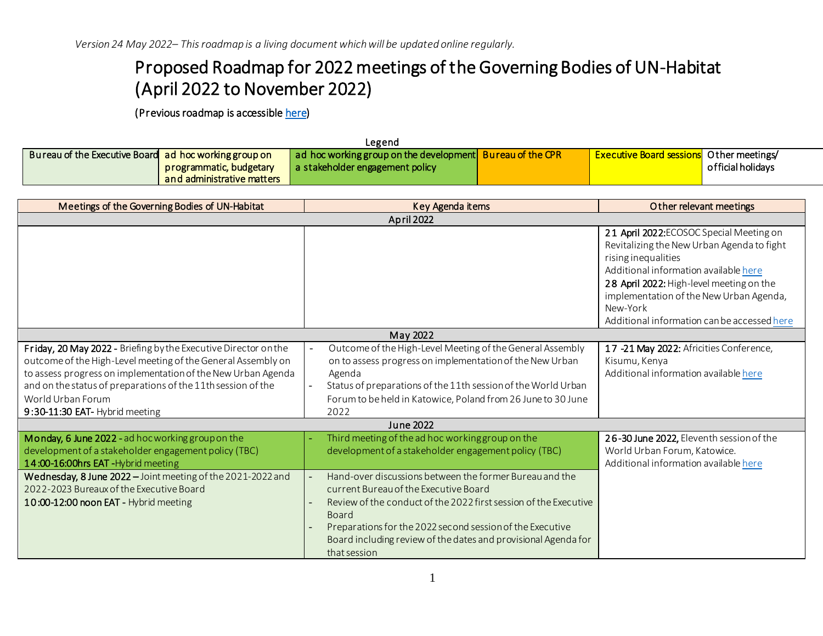*Version 24 May 2022– This roadmap is a living document which will be updated online regularly.*

## Proposed Roadmap for 2022 meetings of the Governing Bodies of UN-Habitat (April 2022 to November 2022)

(Previous roadmap is accessibl[e here\)](https://unhabitat.org/sites/default/files/2022/02/1-proposed_roadmap_towards_the_2022_meetings_of_the_governing_bodies_of_un-habitat_002_002.pdf)

| ∟egend                                                |                            |                                                           |  |                                                 |                   |  |
|-------------------------------------------------------|----------------------------|-----------------------------------------------------------|--|-------------------------------------------------|-------------------|--|
| Bureau of the Executive Board ad hoc working group on |                            | ad hoc working group on the development Bureau of the CPR |  | <b>Executive Board sessions</b> Other meetings/ |                   |  |
|                                                       | programmatic, budgetary    | a stakeholder engagement policy                           |  |                                                 | official holidays |  |
|                                                       | and administrative matters |                                                           |  |                                                 |                   |  |

| Meetings of the Governing Bodies of UN-Habitat                                                                                                                                                                                                                                                                         | Key Agenda items                                                                                                                                                                                                                                                                                | Other relevant meetings                                                                                                                                                                                                                                                                                  |  |  |  |
|------------------------------------------------------------------------------------------------------------------------------------------------------------------------------------------------------------------------------------------------------------------------------------------------------------------------|-------------------------------------------------------------------------------------------------------------------------------------------------------------------------------------------------------------------------------------------------------------------------------------------------|----------------------------------------------------------------------------------------------------------------------------------------------------------------------------------------------------------------------------------------------------------------------------------------------------------|--|--|--|
| <b>April 2022</b>                                                                                                                                                                                                                                                                                                      |                                                                                                                                                                                                                                                                                                 |                                                                                                                                                                                                                                                                                                          |  |  |  |
|                                                                                                                                                                                                                                                                                                                        |                                                                                                                                                                                                                                                                                                 | 21 April 2022: ECOSOC Special Meeting on<br>Revitalizing the New Urban Agenda to fight<br>rising inequalities<br>Additional information available here<br>28 April 2022: High-level meeting on the<br>implementation of the New Urban Agenda,<br>New-York<br>Additional information can be accessed here |  |  |  |
|                                                                                                                                                                                                                                                                                                                        | May 2022                                                                                                                                                                                                                                                                                        |                                                                                                                                                                                                                                                                                                          |  |  |  |
| Friday, 20 May 2022 - Briefing by the Executive Director on the<br>outcome of the High-Level meeting of the General Assembly on<br>to assess progress on implementation of the New Urban Agenda<br>and on the status of preparations of the 11th session of the<br>World Urban Forum<br>9:30-11:30 EAT- Hybrid meeting | Outcome of the High-Level Meeting of the General Assembly<br>on to assess progress on implementation of the New Urban<br>Agenda<br>Status of preparations of the 11th session of the World Urban<br>Forum to be held in Katowice, Poland from 26 June to 30 June<br>2022                        | 17 -21 May 2022: Africities Conference,<br>Kisumu, Kenya<br>Additional information available here                                                                                                                                                                                                        |  |  |  |
| June 2022                                                                                                                                                                                                                                                                                                              |                                                                                                                                                                                                                                                                                                 |                                                                                                                                                                                                                                                                                                          |  |  |  |
| Monday, 6 June 2022 - ad hoc working group on the<br>development of a stakeholder engagement policy (TBC)<br>14:00-16:00hrs EAT-Hybrid meeting<br>Wednesday, 8 June 2022 - Joint meeting of the 2021-2022 and<br>2022-2023 Bureaux of the Executive Board<br>10:00-12:00 noon EAT - Hybrid meeting                     | Third meeting of the ad hoc workinggroup on the<br>development of a stakeholder engagement policy (TBC)<br>Hand-over discussions between the former Bureau and the<br>current Bureau of the Executive Board<br>Review of the conduct of the 2022 first session of the Executive<br><b>Board</b> | 26-30 June 2022, Eleventh session of the<br>World Urban Forum, Katowice.<br>Additional information available here                                                                                                                                                                                        |  |  |  |
|                                                                                                                                                                                                                                                                                                                        | Preparations for the 2022 second session of the Executive<br>Board including review of the dates and provisional Agenda for<br>that session                                                                                                                                                     |                                                                                                                                                                                                                                                                                                          |  |  |  |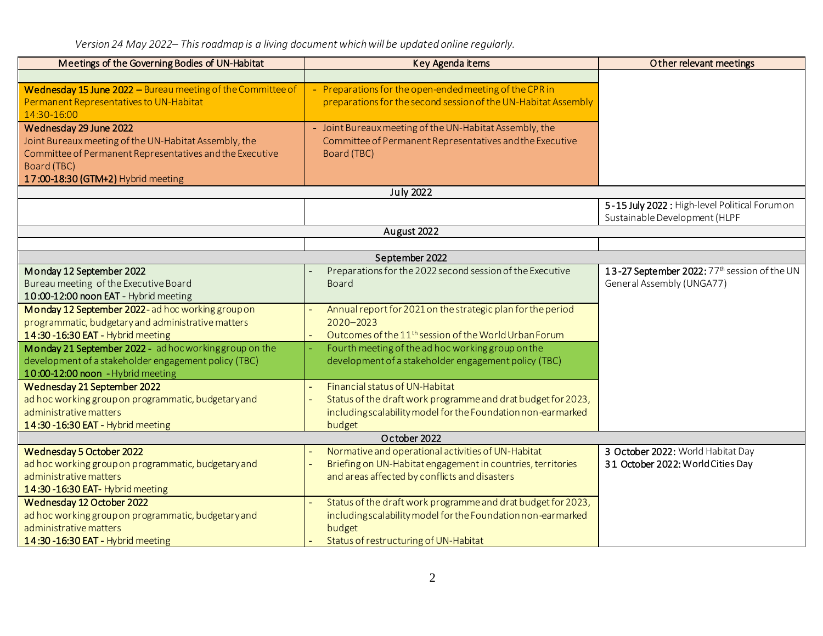*Version 24 May 2022– This roadmap is a living document which will be updated online regularly.*

| Meetings of the Governing Bodies of UN-Habitat              | Key Agenda items                                                  | Other relevant meetings                       |  |  |
|-------------------------------------------------------------|-------------------------------------------------------------------|-----------------------------------------------|--|--|
|                                                             |                                                                   |                                               |  |  |
| Wednesday 15 June 2022 - Bureau meeting of the Committee of | - Preparations for the open-ended meeting of the CPR in           |                                               |  |  |
| Permanent Representatives to UN-Habitat                     | preparations for the second session of the UN-Habitat Assembly    |                                               |  |  |
| 14:30-16:00                                                 |                                                                   |                                               |  |  |
| Wednesday 29 June 2022                                      | - Joint Bureaux meeting of the UN-Habitat Assembly, the           |                                               |  |  |
| Joint Bureaux meeting of the UN-Habitat Assembly, the       | Committee of Permanent Representatives and the Executive          |                                               |  |  |
| Committee of Permanent Representatives and the Executive    | Board (TBC)                                                       |                                               |  |  |
| Board (TBC)                                                 |                                                                   |                                               |  |  |
| 17:00-18:30 (GTM+2) Hybrid meeting                          |                                                                   |                                               |  |  |
|                                                             | <b>July 2022</b>                                                  |                                               |  |  |
|                                                             |                                                                   | 5-15 July 2022 : High-level Political Forumon |  |  |
|                                                             |                                                                   | Sustainable Development (HLPF                 |  |  |
|                                                             | August 2022                                                       |                                               |  |  |
|                                                             |                                                                   |                                               |  |  |
|                                                             | September 2022                                                    |                                               |  |  |
| Monday 12 September 2022                                    | Preparations for the 2022 second session of the Executive         | 13-27 September 2022: 77th session of the UN  |  |  |
| Bureau meeting of the Executive Board                       | <b>Board</b>                                                      | General Assembly (UNGA77)                     |  |  |
| 10:00-12:00 noon EAT - Hybrid meeting                       |                                                                   |                                               |  |  |
| Monday 12 September 2022-ad hoc working group on            | Annual report for 2021 on the strategic plan for the period       |                                               |  |  |
| programmatic, budgetary and administrative matters          | $2020 - 2023$                                                     |                                               |  |  |
| 14:30-16:30 EAT - Hybrid meeting                            | Outcomes of the 11 <sup>th</sup> session of the World Urban Forum |                                               |  |  |
| Monday 21 September 2022 - adhoc working group on the       | Fourth meeting of the ad hoc working group on the                 |                                               |  |  |
| development of a stakeholder engagement policy (TBC)        | development of a stakeholder engagement policy (TBC)              |                                               |  |  |
| 10:00-12:00 noon - Hybrid meeting                           |                                                                   |                                               |  |  |
| Wednesday 21 September 2022                                 | Financial status of UN-Habitat                                    |                                               |  |  |
| ad hoc working group on programmatic, budgetary and         | Status of the draft work programme and drat budget for 2023,      |                                               |  |  |
| administrative matters                                      | including scalability model for the Foundation non-earmarked      |                                               |  |  |
| 14:30-16:30 EAT - Hybrid meeting                            | budget                                                            |                                               |  |  |
| October 2022                                                |                                                                   |                                               |  |  |
| Wednesday 5 October 2022                                    | Normative and operational activities of UN-Habitat                | 3 October 2022: World Habitat Day             |  |  |
| ad hoc working group on programmatic, budgetary and         | Briefing on UN-Habitat engagement in countries, territories       | 31 October 2022: World Cities Day             |  |  |
| administrative matters                                      | and areas affected by conflicts and disasters                     |                                               |  |  |
| 14:30-16:30 EAT- Hybrid meeting                             |                                                                   |                                               |  |  |
| Wednesday 12 October 2022                                   | Status of the draft work programme and drat budget for 2023,      |                                               |  |  |
| ad hoc working group on programmatic, budgetary and         | includingscalability model for the Foundation non-earmarked       |                                               |  |  |
| administrative matters                                      | budget                                                            |                                               |  |  |
| 14:30 - 16:30 EAT - Hybrid meeting                          | Status of restructuring of UN-Habitat                             |                                               |  |  |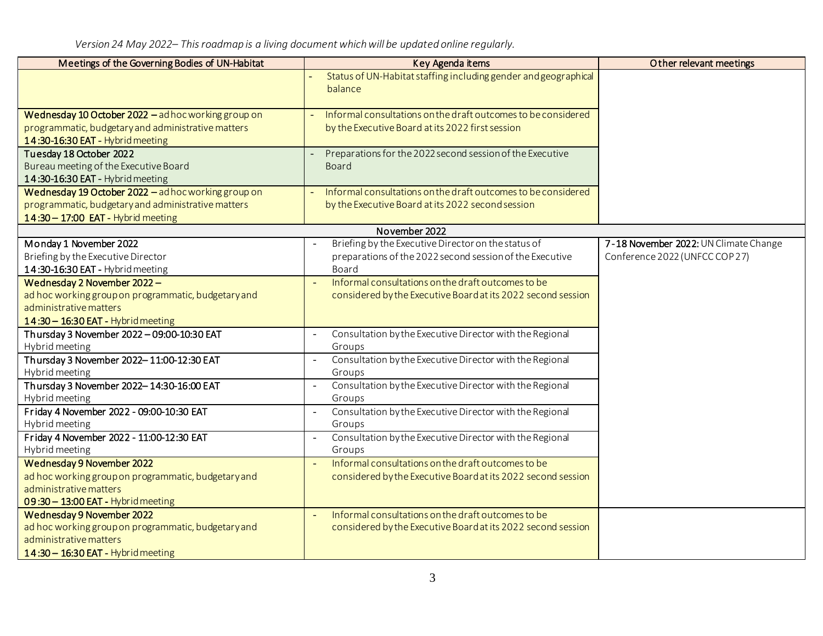*Version 24 May 2022– This roadmap is a living document which will be updated online regularly.*

| Meetings of the Governing Bodies of UN-Habitat                                | Key Agenda items                                                                     | Other relevant meetings               |
|-------------------------------------------------------------------------------|--------------------------------------------------------------------------------------|---------------------------------------|
|                                                                               | Status of UN-Habitat staffing including gender and geographical                      |                                       |
|                                                                               | balance                                                                              |                                       |
| Wednesday 10 October 2022 - ad hoc working group on                           | Informal consultations on the draft outcomes to be considered                        |                                       |
| programmatic, budgetary and administrative matters                            | by the Executive Board at its 2022 first session                                     |                                       |
| 14:30-16:30 EAT - Hybrid meeting                                              |                                                                                      |                                       |
| Tuesday 18 October 2022                                                       | Preparations for the 2022 second session of the Executive                            |                                       |
| Bureau meeting of the Executive Board                                         | <b>Board</b>                                                                         |                                       |
| 14:30-16:30 EAT - Hybrid meeting                                              |                                                                                      |                                       |
| Wednesday 19 October 2022 - ad hoc working group on                           | Informal consultations on the draft outcomes to be considered                        |                                       |
| programmatic, budgetary and administrative matters                            | by the Executive Board at its 2022 second session                                    |                                       |
| 14:30 - 17:00 EAT - Hybrid meeting                                            |                                                                                      |                                       |
|                                                                               | November 2022                                                                        |                                       |
| Monday 1 November 2022                                                        | Briefing by the Executive Director on the status of                                  | 7-18 November 2022: UN Climate Change |
| Briefing by the Executive Director                                            | preparations of the 2022 second session of the Executive                             | Conference 2022 (UNFCC COP 27)        |
| 14:30-16:30 EAT - Hybrid meeting                                              | Board                                                                                |                                       |
| Wednesday 2 November 2022 -                                                   | Informal consultations on the draft outcomes to be                                   |                                       |
| ad hoc working group on programmatic, budgetary and<br>administrative matters | considered by the Executive Board at its 2022 second session                         |                                       |
|                                                                               |                                                                                      |                                       |
| 14:30 - 16:30 EAT - Hybrid meeting                                            |                                                                                      |                                       |
| Thursday 3 November 2022 - 09:00-10:30 EAT<br>Hybrid meeting                  | Consultation by the Executive Director with the Regional<br>$\blacksquare$<br>Groups |                                       |
| Thursday 3 November 2022-11:00-12:30 EAT                                      | Consultation by the Executive Director with the Regional                             |                                       |
| Hybrid meeting                                                                | Groups                                                                               |                                       |
| Thursday 3 November 2022-14:30-16:00 EAT                                      | Consultation by the Executive Director with the Regional                             |                                       |
| Hybrid meeting                                                                | Groups                                                                               |                                       |
| Friday 4 November 2022 - 09:00-10:30 EAT                                      | Consultation by the Executive Director with the Regional<br>$\blacksquare$           |                                       |
| Hybrid meeting                                                                | Groups                                                                               |                                       |
| Friday 4 November 2022 - 11:00-12:30 EAT                                      | Consultation by the Executive Director with the Regional<br>$\mathbb{L}^2$           |                                       |
| Hybrid meeting                                                                | Groups                                                                               |                                       |
| Wednesday 9 November 2022                                                     | Informal consultations on the draft outcomes to be<br>$\sim$                         |                                       |
| ad hoc working group on programmatic, budgetary and                           | considered by the Executive Board at its 2022 second session                         |                                       |
| administrative matters                                                        |                                                                                      |                                       |
| 09:30 - 13:00 EAT - Hybrid meeting                                            |                                                                                      |                                       |
| Wednesday 9 November 2022                                                     | Informal consultations on the draft outcomes to be                                   |                                       |
| ad hoc working group on programmatic, budgetary and                           | considered by the Executive Board at its 2022 second session                         |                                       |
| administrative matters                                                        |                                                                                      |                                       |
| 14:30 - 16:30 EAT - Hybrid meeting                                            |                                                                                      |                                       |